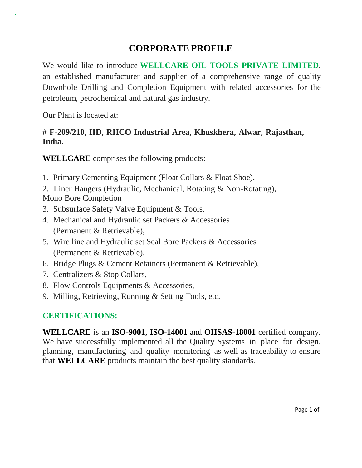# **CORPORATE PROFILE**

We would like to introduce **WELLCARE OIL TOOLS PRIVATE LIMITED**, an established manufacturer and supplier of a comprehensive range of quality Downhole Drilling and Completion Equipment with related accessories for the petroleum, petrochemical and natural gas industry.

Our Plant is located at:

### **# F-209/210, IID, RIICO Industrial Area, Khuskhera, Alwar, Rajasthan, India.**

**WELLCARE** comprises the following products:

- 1. Primary Cementing Equipment (Float Collars & Float Shoe),
- 2. Liner Hangers (Hydraulic, Mechanical, Rotating & Non-Rotating), Mono Bore Completion
- 3. Subsurface Safety Valve Equipment & Tools,
- 4. Mechanical and Hydraulic set Packers & Accessories (Permanent & Retrievable),
- 5. Wire line and Hydraulic set Seal Bore Packers & Accessories (Permanent & Retrievable),
- 6. Bridge Plugs & Cement Retainers (Permanent & Retrievable),
- 7. Centralizers & Stop Collars,
- 8. Flow Controls Equipments & Accessories,
- 9. Milling, Retrieving, Running & Setting Tools, etc.

### **CERTIFICATIONS:**

**WELLCARE** is an **ISO-9001, ISO-14001** and **OHSAS-18001** certified company. We have successfully implemented all the Quality Systems in place for design, planning, manufacturing and quality monitoring as well as traceability to ensure that **WELLCARE** products maintain the best quality standards.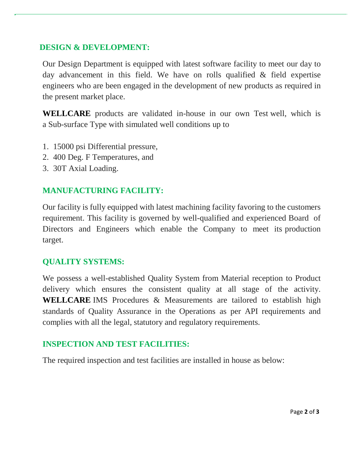#### **DESIGN & DEVELOPMENT:**

Our Design Department is equipped with latest software facility to meet our day to day advancement in this field. We have on rolls qualified & field expertise engineers who are been engaged in the development of new products as required in the present market place.

**WELLCARE** products are validated in-house in our own Test well, which is a Sub-surface Type with simulated well conditions up to

- 1. 15000 psi Differential pressure,
- 2. 400 Deg. F Temperatures, and
- 3. 30T Axial Loading.

## **MANUFACTURING FACILITY:**

Our facility is fully equipped with latest machining facility favoring to the customers requirement. This facility is governed by well-qualified and experienced Board of Directors and Engineers which enable the Company to meet its production target.

### **QUALITY SYSTEMS:**

We possess a well-established Quality System from Material reception to Product delivery which ensures the consistent quality at all stage of the activity. **WELLCARE** IMS Procedures & Measurements are tailored to establish high standards of Quality Assurance in the Operations as per API requirements and complies with all the legal, statutory and regulatory requirements.

### **INSPECTION AND TEST FACILITIES:**

The required inspection and test facilities are installed in house as below: